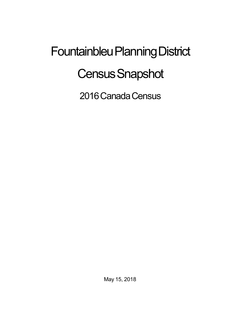## Fountainbleu Planning District **Census Snapshot**

2016 Canada Census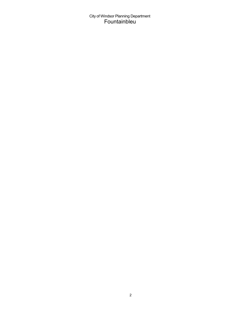City of Windsor Planning Department<br>Fountainbleu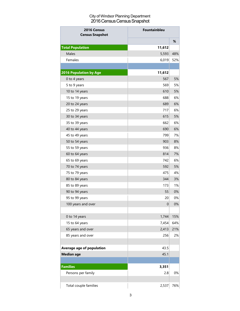## City of Windsor Planning Department 2016 Census Census Snapshot

| 2016 Census<br><b>Census Snapshot</b> | Fountainbleu |     |
|---------------------------------------|--------------|-----|
|                                       |              | %   |
| <b>Total Population</b>               | 11,612       |     |
| <b>Males</b>                          | 5,593        | 48% |
| Females                               | 6,019        | 52% |
|                                       |              |     |
| 2016 Population by Age                | 11,612       |     |
| 0 to 4 years                          | 567          | 5%  |
| 5 to 9 years                          | 569          | 5%  |
| 10 to 14 years                        | 610          | 5%  |
| 15 to 19 years                        | 688          | 6%  |
| 20 to 24 years                        | 689          | 6%  |
| 25 to 29 years                        | 717          | 6%  |
| 30 to 34 years                        | 615          | 5%  |
| 35 to 39 years                        | 662          | 6%  |
| 40 to 44 years                        | 690          | 6%  |
| 45 to 49 years                        | 799          | 7%  |
| 50 to 54 years                        | 903          | 8%  |
| 55 to 59 years                        | 936          | 8%  |
| 60 to 64 years                        | 814          | 7%  |
| 65 to 69 years                        | 742          | 6%  |
| 70 to 74 years                        | 592          | 5%  |
| 75 to 79 years                        | 475          | 4%  |
| 80 to 84 years                        | 344          | 3%  |
| 85 to 89 years                        | 173          | 1%  |
| 90 to 94 years                        | 55           | 0%  |
| 95 to 99 years                        | 20           | 0%  |
| 100 years and over                    | $\mathbf 0$  | 0%  |
|                                       |              |     |
| 0 to 14 years                         | 1,744        | 15% |
| 15 to 64 years                        | 7,454        | 64% |
| 65 years and over                     | 2,413        | 21% |
| 85 years and over                     | 256          | 2%  |
|                                       |              |     |
| Average age of population             | 43.5         |     |
| <b>Median age</b>                     | 45.1         |     |
|                                       |              |     |
| <b>Families</b>                       | 3,351        |     |
| Persons per family                    | 2.8          | 0%  |
|                                       |              |     |
| Total couple families                 | 2,537        | 76% |